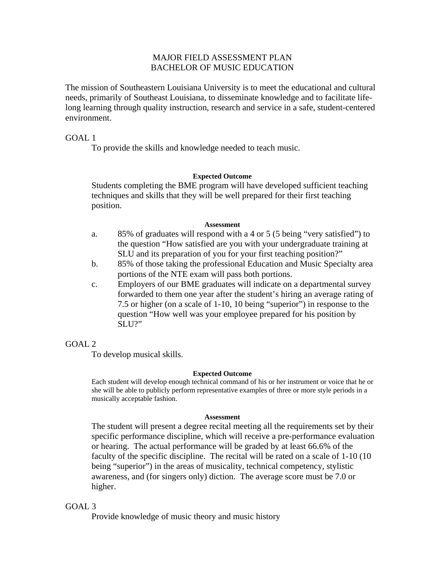# MAJOR FIELD ASSESSMENT PLAN BACHELOR OF MUSIC EDUCATION

The mission of Southeastern Louisiana University is to meet the educational and cultural needs, primarily of Southeast Louisiana, to disseminate knowledge and to facilitate lifelong learning through quality instruction, research and service in a safe, student-centered environment.

## GOAL 1

To provide the skills and knowledge needed to teach music.

### **Expected Outcome**

Students completing the BME program will have developed sufficient teaching techniques and skills that they will be well prepared for their first teaching position.

#### **Assessment**

- a. 85% of graduates will respond with a 4 or 5 (5 being "very satisfied") to the question "How satisfied are you with your undergraduate training at SLU and its preparation of you for your first teaching position?"
- b. 85% of those taking the professional Education and Music Specialty area portions of the NTE exam will pass both portions.
- c. Employers of our BME graduates will indicate on a departmental survey forwarded to them one year after the student's hiring an average rating of 7.5 or higher (on a scale of 1-10, 10 being "superior") in response to the question "How well was your employee prepared for his position by SLU?"

# $GOAI.2$

To develop musical skills.

### **Expected Outcome**

 Each student will develop enough technical command of his or her instrument or voice that he or she will be able to publicly perform representative examples of three or more style periods in a musically acceptable fashion.

#### **Assessment**

 The student will present a degree recital meeting all the requirements set by their specific performance discipline, which will receive a pre-performance evaluation or hearing. The actual performance will be graded by at least 66.6% of the faculty of the specific discipline. The recital will be rated on a scale of 1-10 (10 being "superior") in the areas of musicality, technical competency, stylistic awareness, and (for singers only) diction. The average score must be 7.0 or higher.

# GOAL 3

Provide knowledge of music theory and music history